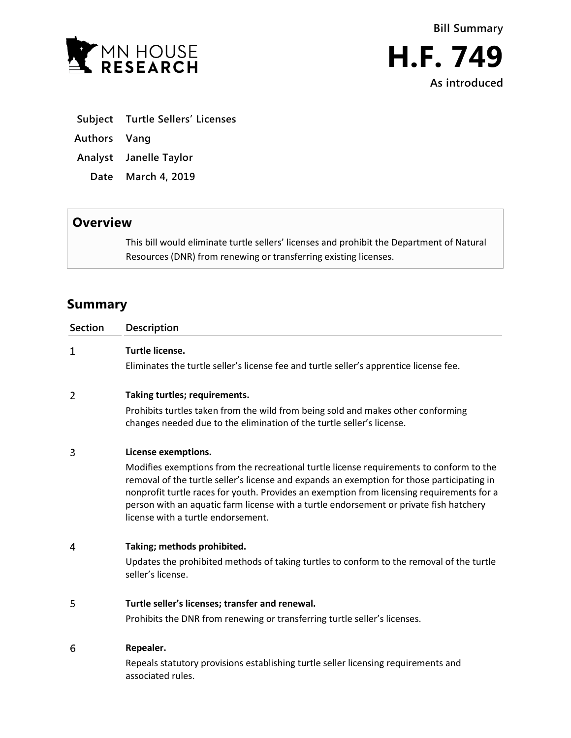

- **Subject Turtle Sellers' Licenses**
- **Authors Vang**
- **Analyst Janelle Taylor**
- **Date March 4, 2019**

## **Overview**

This bill would eliminate turtle sellers' licenses and prohibit the Department of Natural Resources (DNR) from renewing or transferring existing licenses.

## **Summary**

| <b>Section</b> | <b>Description</b>                                                                                                                                                                                                                                                                                                                                                                                                 |
|----------------|--------------------------------------------------------------------------------------------------------------------------------------------------------------------------------------------------------------------------------------------------------------------------------------------------------------------------------------------------------------------------------------------------------------------|
| $\mathbf{1}$   | Turtle license.                                                                                                                                                                                                                                                                                                                                                                                                    |
|                | Eliminates the turtle seller's license fee and turtle seller's apprentice license fee.                                                                                                                                                                                                                                                                                                                             |
| 2              | Taking turtles; requirements.                                                                                                                                                                                                                                                                                                                                                                                      |
|                | Prohibits turtles taken from the wild from being sold and makes other conforming<br>changes needed due to the elimination of the turtle seller's license.                                                                                                                                                                                                                                                          |
| 3              | License exemptions.                                                                                                                                                                                                                                                                                                                                                                                                |
|                | Modifies exemptions from the recreational turtle license requirements to conform to the<br>removal of the turtle seller's license and expands an exemption for those participating in<br>nonprofit turtle races for youth. Provides an exemption from licensing requirements for a<br>person with an aquatic farm license with a turtle endorsement or private fish hatchery<br>license with a turtle endorsement. |
| 4              | Taking; methods prohibited.                                                                                                                                                                                                                                                                                                                                                                                        |
|                | Updates the prohibited methods of taking turtles to conform to the removal of the turtle<br>seller's license.                                                                                                                                                                                                                                                                                                      |
| 5              | Turtle seller's licenses; transfer and renewal.                                                                                                                                                                                                                                                                                                                                                                    |
|                | Prohibits the DNR from renewing or transferring turtle seller's licenses.                                                                                                                                                                                                                                                                                                                                          |
| 6              | Repealer.                                                                                                                                                                                                                                                                                                                                                                                                          |
|                | Repeals statutory provisions establishing turtle seller licensing requirements and<br>associated rules.                                                                                                                                                                                                                                                                                                            |